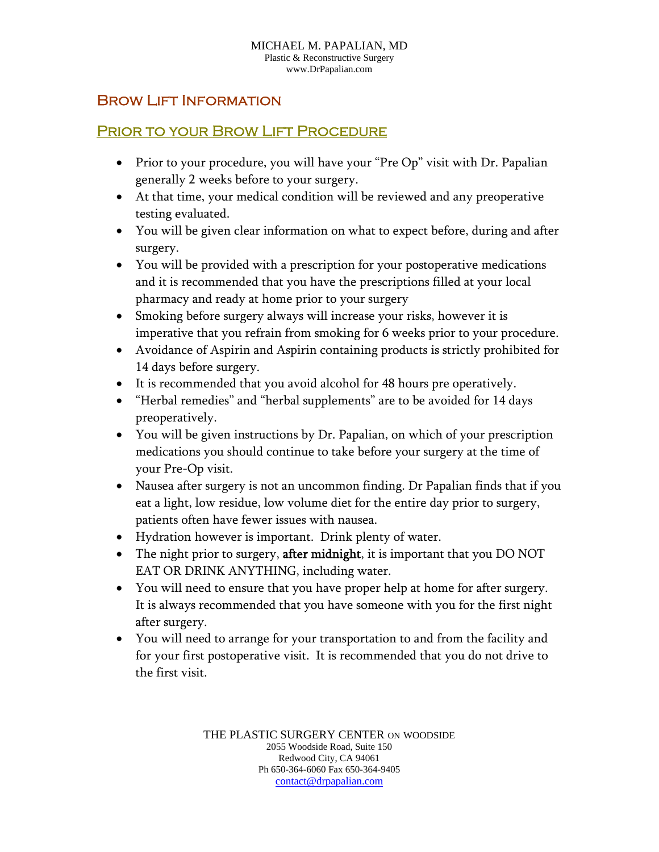## **BROW LIFT INFORMATION**

## PRIOR TO YOUR BROW LIFT PROCEDURE

- Prior to your procedure, you will have your "Pre Op" visit with Dr. Papalian generally 2 weeks before to your surgery.
- At that time, your medical condition will be reviewed and any preoperative testing evaluated.
- You will be given clear information on what to expect before, during and after surgery.
- You will be provided with a prescription for your postoperative medications and it is recommended that you have the prescriptions filled at your local pharmacy and ready at home prior to your surgery
- Smoking before surgery always will increase your risks, however it is imperative that you refrain from smoking for 6 weeks prior to your procedure.
- Avoidance of Aspirin and Aspirin containing products is strictly prohibited for 14 days before surgery.
- It is recommended that you avoid alcohol for 48 hours pre operatively.
- "Herbal remedies" and "herbal supplements" are to be avoided for 14 days preoperatively.
- You will be given instructions by Dr. Papalian, on which of your prescription medications you should continue to take before your surgery at the time of your Pre-Op visit.
- Nausea after surgery is not an uncommon finding. Dr Papalian finds that if you eat a light, low residue, low volume diet for the entire day prior to surgery, patients often have fewer issues with nausea.
- Hydration however is important. Drink plenty of water.
- The night prior to surgery, **after midnight**, it is important that you DO NOT EAT OR DRINK ANYTHING, including water.
- You will need to ensure that you have proper help at home for after surgery. It is always recommended that you have someone with you for the first night after surgery.
- You will need to arrange for your transportation to and from the facility and for your first postoperative visit. It is recommended that you do not drive to the first visit.

THE PLASTIC SURGERY CENTER ON WOODSIDE 2055 Woodside Road, Suite 150 Redwood City, CA 94061 Ph 650-364-6060 Fax 650-364-9405 contact@drpapalian.com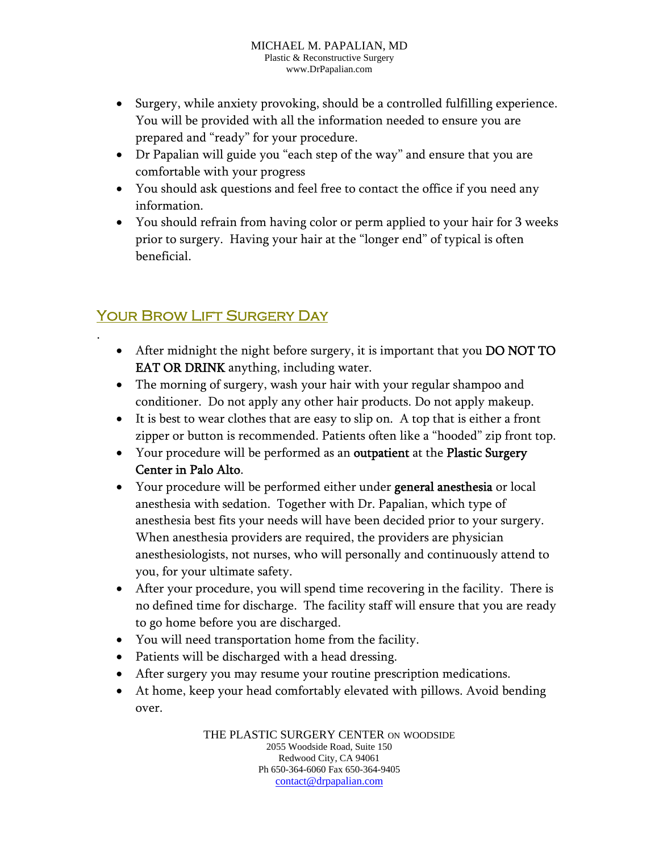- Surgery, while anxiety provoking, should be a controlled fulfilling experience. You will be provided with all the information needed to ensure you are prepared and "ready" for your procedure.
- Dr Papalian will guide you "each step of the way" and ensure that you are comfortable with your progress
- You should ask questions and feel free to contact the office if you need any information.
- You should refrain from having color or perm applied to your hair for 3 weeks prior to surgery. Having your hair at the "longer end" of typical is often beneficial.

## Your Brow Lift Surgery Day

.

- After midnight the night before surgery, it is important that you DO NOT TO EAT OR DRINK anything, including water.
- The morning of surgery, wash your hair with your regular shampoo and conditioner. Do not apply any other hair products. Do not apply makeup.
- It is best to wear clothes that are easy to slip on. A top that is either a front zipper or button is recommended. Patients often like a "hooded" zip front top.
- Your procedure will be performed as an outpatient at the Plastic Surgery Center in Palo Alto.
- Your procedure will be performed either under general anesthesia or local anesthesia with sedation. Together with Dr. Papalian, which type of anesthesia best fits your needs will have been decided prior to your surgery. When anesthesia providers are required, the providers are physician anesthesiologists, not nurses, who will personally and continuously attend to you, for your ultimate safety.
- After your procedure, you will spend time recovering in the facility. There is no defined time for discharge. The facility staff will ensure that you are ready to go home before you are discharged.
- You will need transportation home from the facility.
- Patients will be discharged with a head dressing.
- After surgery you may resume your routine prescription medications.
- At home, keep your head comfortably elevated with pillows. Avoid bending over.

THE PLASTIC SURGERY CENTER ON WOODSIDE 2055 Woodside Road, Suite 150 Redwood City, CA 94061 Ph 650-364-6060 Fax 650-364-9405 contact@drpapalian.com